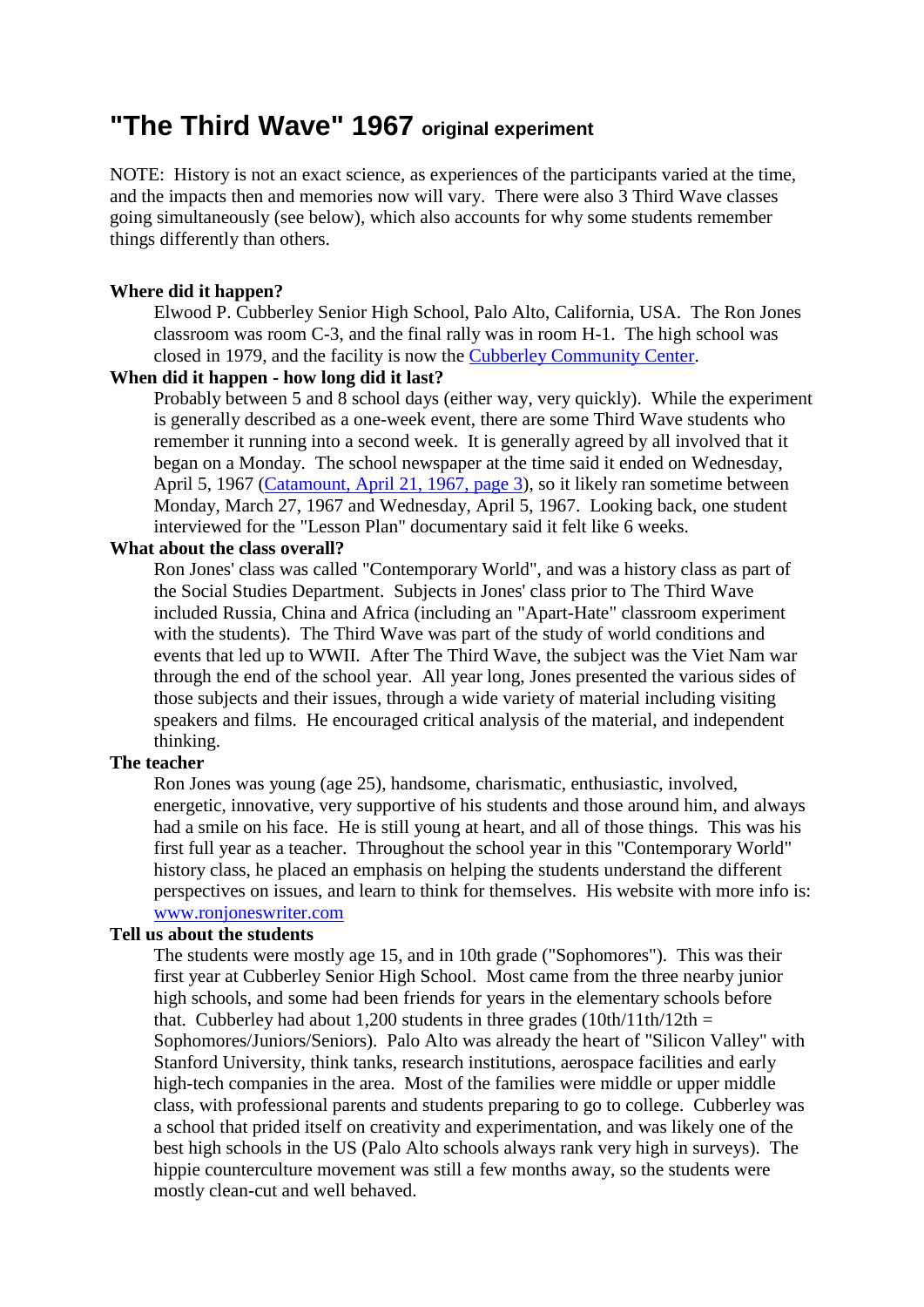# **"The Third Wave" 1967 original experiment**

NOTE: History is not an exact science, as experiences of the participants varied at the time, and the impacts then and memories now will vary. There were also 3 Third Wave classes going simultaneously (see below), which also accounts for why some students remember things differently than others.

# **Where did it happen?**

Elwood P. Cubberley Senior High School, Palo Alto, California, USA. The Ron Jones classroom was room C-3, and the final rally was in room H-1. The high school was closed in 1979, and the facility is now the [Cubberley Community Center.](http://www.cityofpaloalto.org/news/displaynews.asp?NewsID=91&targetid=16)

# **When did it happen - how long did it last?**

Probably between 5 and 8 school days (either way, very quickly). While the experiment is generally described as a one-week event, there are some Third Wave students who remember it running into a second week. It is generally agreed by all involved that it began on a Monday. The school newspaper at the time said it ended on Wednesday, April 5, 1967 [\(Catamount, April 21, 1967, page 3\)](http://www.cubberleycatamount.com/Content/66-67/Catamount%20Pages/V11No14/670421.pdf), so it likely ran sometime between Monday, March 27, 1967 and Wednesday, April 5, 1967. Looking back, one student interviewed for the "Lesson Plan" documentary said it felt like 6 weeks.

#### **What about the class overall?**

Ron Jones' class was called "Contemporary World", and was a history class as part of the Social Studies Department. Subjects in Jones' class prior to The Third Wave included Russia, China and Africa (including an "Apart-Hate" classroom experiment with the students). The Third Wave was part of the study of world conditions and events that led up to WWII. After The Third Wave, the subject was the Viet Nam war through the end of the school year. All year long, Jones presented the various sides of those subjects and their issues, through a wide variety of material including visiting speakers and films. He encouraged critical analysis of the material, and independent thinking.

# **The teacher**

Ron Jones was young (age 25), handsome, charismatic, enthusiastic, involved, energetic, innovative, very supportive of his students and those around him, and always had a smile on his face. He is still young at heart, and all of those things. This was his first full year as a teacher. Throughout the school year in this "Contemporary World" history class, he placed an emphasis on helping the students understand the different perspectives on issues, and learn to think for themselves. His website with more info is: [www.ronjoneswriter.com](http://www.ronjoneswriter.com/)

# **Tell us about the students**

The students were mostly age 15, and in 10th grade ("Sophomores"). This was their first year at Cubberley Senior High School. Most came from the three nearby junior high schools, and some had been friends for years in the elementary schools before that. Cubberley had about 1,200 students in three grades  $(10th/11th/12th =$ Sophomores/Juniors/Seniors). Palo Alto was already the heart of "Silicon Valley" with Stanford University, think tanks, research institutions, aerospace facilities and early high-tech companies in the area. Most of the families were middle or upper middle class, with professional parents and students preparing to go to college. Cubberley was a school that prided itself on creativity and experimentation, and was likely one of the best high schools in the US (Palo Alto schools always rank very high in surveys). The hippie counterculture movement was still a few months away, so the students were mostly clean-cut and well behaved.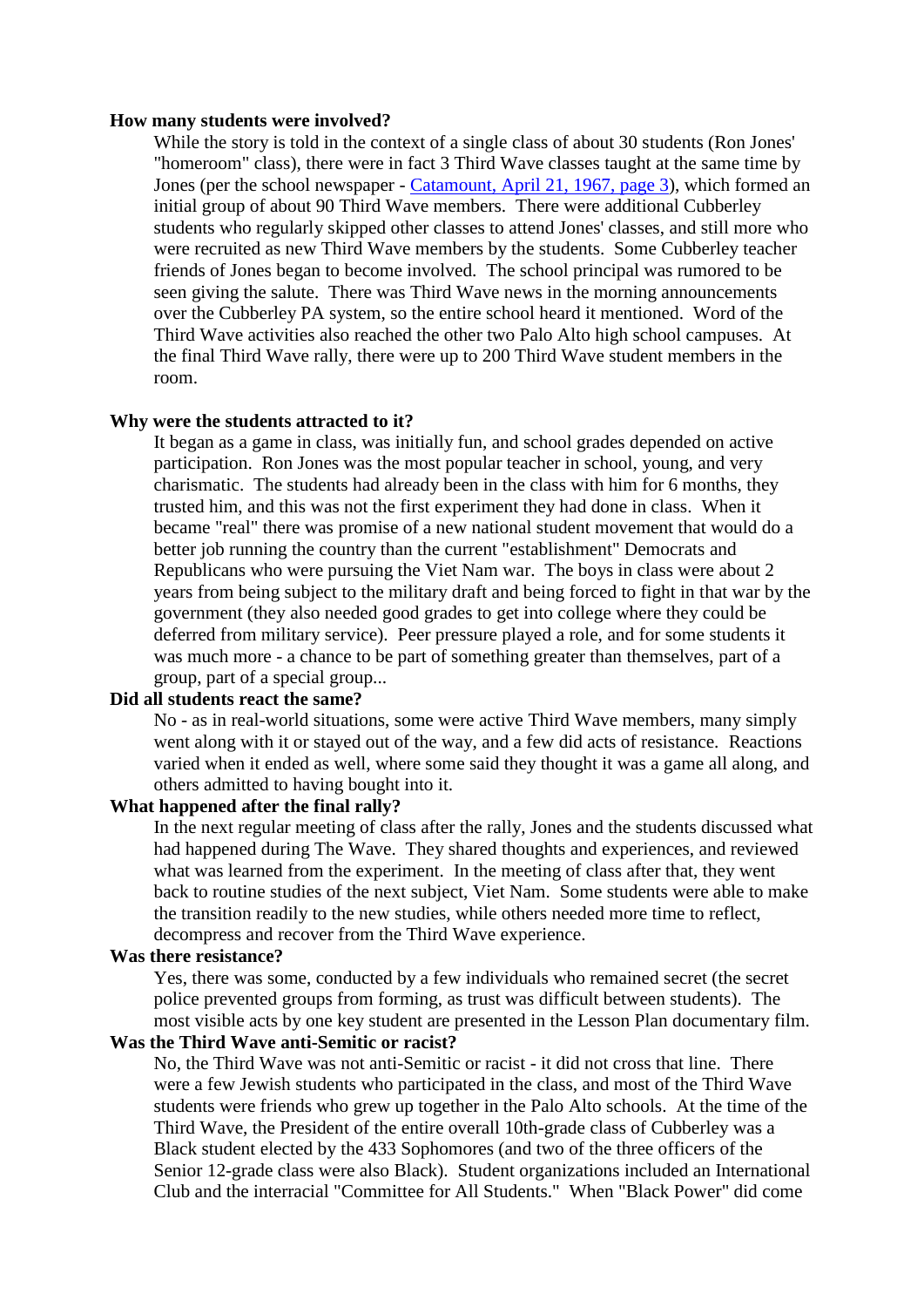#### **How many students were involved?**

While the story is told in the context of a single class of about 30 students (Ron Jones' "homeroom" class), there were in fact 3 Third Wave classes taught at the same time by Jones (per the school newspaper - [Catamount, April](http://www.cubberleycatamount.com/Content/66-67/Catamount%20Pages/V11No14/670421.pdf) 21, 1967, page 3), which formed an initial group of about 90 Third Wave members. There were additional Cubberley students who regularly skipped other classes to attend Jones' classes, and still more who were recruited as new Third Wave members by the students. Some Cubberley teacher friends of Jones began to become involved. The school principal was rumored to be seen giving the salute. There was Third Wave news in the morning announcements over the Cubberley PA system, so the entire school heard it mentioned. Word of the Third Wave activities also reached the other two Palo Alto high school campuses. At the final Third Wave rally, there were up to 200 Third Wave student members in the room.

#### **Why were the students attracted to it?**

It began as a game in class, was initially fun, and school grades depended on active participation. Ron Jones was the most popular teacher in school, young, and very charismatic. The students had already been in the class with him for 6 months, they trusted him, and this was not the first experiment they had done in class. When it became "real" there was promise of a new national student movement that would do a better job running the country than the current "establishment" Democrats and Republicans who were pursuing the Viet Nam war. The boys in class were about 2 years from being subject to the military draft and being forced to fight in that war by the government (they also needed good grades to get into college where they could be deferred from military service). Peer pressure played a role, and for some students it was much more - a chance to be part of something greater than themselves, part of a group, part of a special group...

## **Did all students react the same?**

No - as in real-world situations, some were active Third Wave members, many simply went along with it or stayed out of the way, and a few did acts of resistance. Reactions varied when it ended as well, where some said they thought it was a game all along, and others admitted to having bought into it.

## **What happened after the final rally?**

In the next regular meeting of class after the rally, Jones and the students discussed what had happened during The Wave. They shared thoughts and experiences, and reviewed what was learned from the experiment. In the meeting of class after that, they went back to routine studies of the next subject, Viet Nam. Some students were able to make the transition readily to the new studies, while others needed more time to reflect, decompress and recover from the Third Wave experience.

#### **Was there resistance?**

Yes, there was some, conducted by a few individuals who remained secret (the secret police prevented groups from forming, as trust was difficult between students). The most visible acts by one key student are presented in the Lesson Plan documentary film.

## **Was the Third Wave anti-Semitic or racist?**

No, the Third Wave was not anti-Semitic or racist - it did not cross that line. There were a few Jewish students who participated in the class, and most of the Third Wave students were friends who grew up together in the Palo Alto schools. At the time of the Third Wave, the President of the entire overall 10th-grade class of Cubberley was a Black student elected by the 433 Sophomores (and two of the three officers of the Senior 12-grade class were also Black). Student organizations included an International Club and the interracial "Committee for All Students." When "Black Power" did come